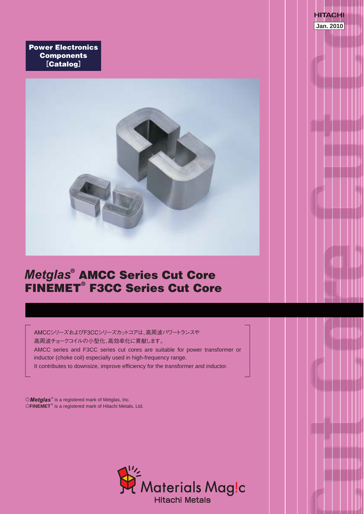**Power Electronics Components** [**Catalog**]



**Jan. 2010**

**HITACHI** 

## **® AMCC Series Cut Core FINEMET® F3CC Series Cut Core**

AMCCシリーズおよびF3CCシリーズカットコアは、高周波パワートランスや 高周波チョークコイルの小型化、高効率化に貢献します。 AMCC series and F3CC series cut cores are suitable for power transformer or inductor (choke coil) especially used in high-frequency range. It contributes to downsize, improve efficiency for the transformer and inductor.

©Metglas® is a registered mark of Metglas, Inc. ©FINEMET<sup>®</sup> is a registered mark of Hitachi Metals, Ltd.

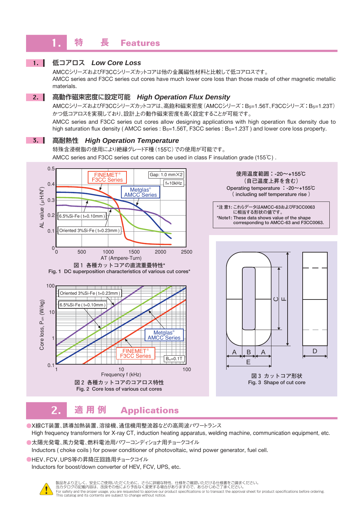#### **特 長 Features**

## $1.$

## 低コアロス *Low Core Loss*

AMCCシリーズおよびF3CCシリーズカットコアは他の金属磁性材料と比較して低コアロスです。 AMCC series and F3CC series cut cores have much lower core loss than those made of other magnetic metallic materials.

#### 高動作磁束密度に設定可能 *High Operation Flux Density*  $2. \parallel$

AMCCシリーズおよびF3CCシリーズカットコアは、高飽和磁束密度(AMCCシリーズ:BS=1.56T、F3CCシリーズ:BS=1.23T) かつ低コアロスを実現しており、設計上の動作磁束密度を高く設定することが可能です。

AMCC series and F3CC series cut cores allow designing applications with high operation flux density due to high saturation flux density (AMCC series : Bs=1.56T, F3CC series : Bs=1.23T) and lower core loss property.

## **3.** 高耐熱性 *High Operation Temperature*

特殊含浸樹脂の使用により絶縁グレードF種(155℃)での使用が可能です。

AMCC series and F3CC series cut cores can be used in class F insulation grade (155℃) .



**使用温度範囲:-20~+155℃ (自己温度上昇を含む) Operating temperature :-20~+155℃ ( including self temperature rise )**





#### $2.$  **適 用 例 Applications**

Frequency f (kHz)

**図2 各種カットコアのコアロス特性 Fig. 2 Core loss of various cut cores**

●X線CT装置、誘導加熱装置、溶接機、通信機用整流器などの高周波パワートランス High frequency transformers for X-ray CT, induction heating apparatus, welding machine, communication equipment, etc.

 $100$ 

 $B_m=0.1T$ 

●太陽光発電、風力発電、燃料電池用パワーコンディショナ用チョークコイル

Inductors ( choke coils ) for power conditioner of photovoltaic, wind power generator, fuel cell.

●HEV、FCV、UPS等の昇降圧回路用チョークコイル

1 10

Inductors for boost/down converter of HEV, FCV, UPS, etc.



0.1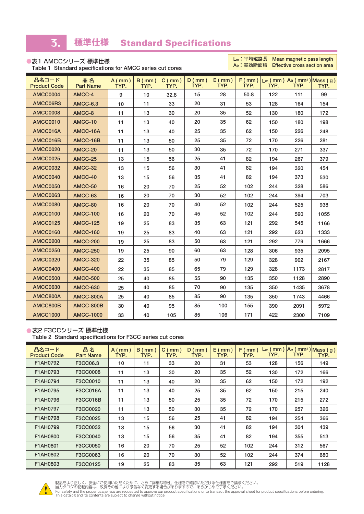#### 3. **標準仕様 Standard Specifications**

| ●表1 AMCCシリーズ 標準仕様                                         |
|-----------------------------------------------------------|
| Table 1 Standard specifications for AMCC series cut cores |

**Lm:平均磁路長 Mean magnetic pass length Effective cross section area** 

| 品名コード<br><b>Product Code</b> | 品名<br><b>Part Name</b> | $A$ (mm)<br>TYP. | $B$ (mm)<br>TYP. | $C$ (mm)<br>TYP. | $D$ (mm)<br>TYP. | $E$ (mm)<br>TYP. | TYP. | TYP. | TYP. | $F$ (mm ) $\vert L_m$ (mm ) $\vert$ Ae (mm <sup>2</sup> ) Mass (g)<br>TYP. |
|------------------------------|------------------------|------------------|------------------|------------------|------------------|------------------|------|------|------|----------------------------------------------------------------------------|
| <b>AMCC0004</b>              | AMCC-4                 | 9                | 10               | 32.8             | 15               | 28               | 50.8 | 122  | 111  | 99                                                                         |
| AMCC06R3                     | <b>AMCC-6.3</b>        | 10               | 11               | 33               | 20               | 31               | 53   | 128  | 164  | 154                                                                        |
| <b>AMCC0008</b>              | AMCC-8                 | 11               | 13               | 30               | 20               | 35               | 52   | 130  | 180  | 172                                                                        |
| <b>AMCC0010</b>              | AMCC-10                | 11               | 13               | 40               | 20               | 35               | 62   | 150  | 180  | 198                                                                        |
| AMCC016A                     | AMCC-16A               | 11               | 13               | 40               | 25               | 35               | 62   | 150  | 226  | 248                                                                        |
| AMCC016B                     | AMCC-16B               | 11               | 13               | 50               | 25               | 35               | 72   | 170  | 226  | 281                                                                        |
| <b>AMCC0020</b>              | AMCC-20                | 11               | 13               | 50               | 30               | 35               | 72   | 170  | 271  | 337                                                                        |
| <b>AMCC0025</b>              | AMCC-25                | 13               | 15               | 56               | 25               | 41               | 82   | 194  | 267  | 379                                                                        |
| <b>AMCC0032</b>              | AMCC-32                | 13               | 15               | 56               | 30               | 41               | 82   | 194  | 320  | 454                                                                        |
| <b>AMCC0040</b>              | AMCC-40                | 13               | 15               | 56               | 35               | 41               | 82   | 194  | 373  | 530                                                                        |
| <b>AMCC0050</b>              | AMCC-50                | 16               | 20               | 70               | 25               | 52               | 102  | 244  | 328  | 586                                                                        |
| <b>AMCC0063</b>              | AMCC-63                | 16               | 20               | 70               | 30               | 52               | 102  | 244  | 394  | 703                                                                        |
| <b>AMCC0080</b>              | AMCC-80                | 16               | 20               | 70               | 40               | 52               | 102  | 244  | 525  | 938                                                                        |
| AMCC0100                     | <b>AMCC-100</b>        | 16               | 20               | 70               | 45               | 52               | 102  | 244  | 590  | 1055                                                                       |
| <b>AMCC0125</b>              | <b>AMCC-125</b>        | 19               | 25               | 83               | 35               | 63               | 121  | 292  | 545  | 1166                                                                       |
| <b>AMCC0160</b>              | <b>AMCC-160</b>        | 19               | 25               | 83               | 40               | 63               | 121  | 292  | 623  | 1333                                                                       |
| <b>AMCC0200</b>              | <b>AMCC-200</b>        | 19               | 25               | 83               | 50               | 63               | 121  | 292  | 779  | 1666                                                                       |
| <b>AMCC0250</b>              | <b>AMCC-250</b>        | 19               | 25               | 90               | 60               | 63               | 128  | 306  | 935  | 2095                                                                       |
| <b>AMCC0320</b>              | <b>AMCC-320</b>        | 22               | 35               | 85               | 50               | 79               | 129  | 328  | 902  | 2167                                                                       |
| <b>AMCC0400</b>              | <b>AMCC-400</b>        | 22               | 35               | 85               | 65               | 79               | 129  | 328  | 1173 | 2817                                                                       |
| <b>AMCC0500</b>              | <b>AMCC-500</b>        | 25               | 40               | 85               | 55               | 90               | 135  | 350  | 1128 | 2890                                                                       |
| <b>AMCC0630</b>              | <b>AMCC-630</b>        | 25               | 40               | 85               | 70               | 90               | 135  | 350  | 1435 | 3678                                                                       |
| AMCC800A                     | AMCC-800A              | 25               | 40               | 85               | 85               | 90               | 135  | 350  | 1743 | 4466                                                                       |
| AMCC800B                     | AMCC-800B              | 30               | 40               | 95               | 85               | 100              | 155  | 390  | 2091 | 5972                                                                       |
| <b>AMCC1000</b>              | <b>AMCC-1000</b>       | 33               | 40               | 105              | 85               | 106              | 171  | 422  | 2300 | 7109                                                                       |

## ● 表2 F3CCシリーズ 標準仕様

**Table 2 Standard specifications for F3CC series cut cores**

| 品名コード<br><b>Product Code</b> | 品名<br><b>Part Name</b> | $A$ (mm)<br>TYP. | $B$ (mm)<br>TYP. | C(mm)<br>TYP. | $D$ (mm)<br>TYP. | $E$ (mm)<br>TYP. | $F$ (mm)<br>TYP. | TYP. | TYP. | $L_m$ (mm) $Ae$ (mm <sup>2</sup> ) Mass (g)<br>TYP. |
|------------------------------|------------------------|------------------|------------------|---------------|------------------|------------------|------------------|------|------|-----------------------------------------------------|
| F1AH0792                     | F3CC06.3               | 10               | 11               | 33            | 20               | 31               | 53               | 128  | 156  | 149                                                 |
| F1AH0793                     | F3CC0008               | 11               | 13               | 30            | 20               | 35               | 52               | 130  | 172  | 166                                                 |
| F1AH0794                     | F3CC0010               | 11               | 13               | 40            | 20               | 35               | 62               | 150  | 172  | 192                                                 |
| F1AH0795                     | F3CC016A               | 11               | 13               | 40            | 25               | 35               | 62               | 150  | 215  | 240                                                 |
| F1AH0796                     | F3CC016B               | 11               | 13               | 50            | 25               | 35               | 72               | 170  | 215  | 272                                                 |
| F1AH0797                     | F3CC0020               | 11               | 13               | 50            | 30               | 35               | 72               | 170  | 257  | 326                                                 |
| F1AH0798                     | F3CC0025               | 13               | 15               | 56            | 25               | 41               | 82               | 194  | 254  | 366                                                 |
| F1AH0799                     | F3CC0032               | 13               | 15               | 56            | 30               | 41               | 82               | 194  | 304  | 439                                                 |
| F1AH0800                     | F3CC0040               | 13               | 15               | 56            | 35               | 41               | 82               | 194  | 355  | 513                                                 |
| F1AH0801                     | F3CC0050               | 16               | 20               | 70            | 25               | 52               | 102              | 244  | 312  | 567                                                 |
| <b>F1AH0802</b>              | F3CC0063               | 16               | 20               | 70            | 30               | 52               | 102              | 244  | 374  | 680                                                 |
| F1AH0803                     | F3CC0125               | 19               | 25               | 83            | 35               | 63               | 121              | 292  | 519  | 1128                                                |



製品をより止しく、安全にご使用いただくために、さらに詳細な特性、仕様をご確認いただける仕様書をご請求ください。<br>当カタログの記載内容は、改良その他により予告なく変更する場合がありますので、あらかじめご了承ください。<br>For safety and the proper usage, you are requested to approve our product specifications or to transact the appr